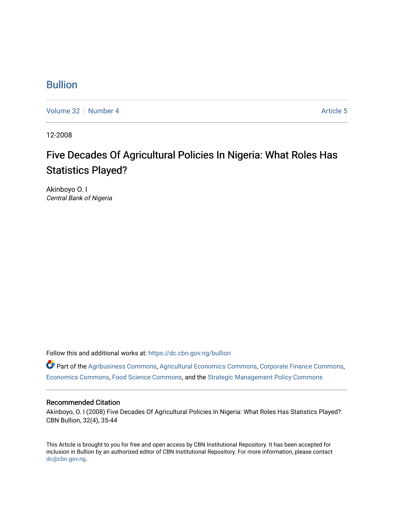### [Bullion](https://dc.cbn.gov.ng/bullion)

[Volume 32](https://dc.cbn.gov.ng/bullion/vol32) [Number 4](https://dc.cbn.gov.ng/bullion/vol32/iss4) [Article 5](https://dc.cbn.gov.ng/bullion/vol32/iss4/5) Article 5

12-2008

## Five Decades Of Agricultural Policies In Nigeria: What Roles Has Statistics Played?

Akinboyo O. I Central Bank of Nigeria

Follow this and additional works at: [https://dc.cbn.gov.ng/bullion](https://dc.cbn.gov.ng/bullion?utm_source=dc.cbn.gov.ng%2Fbullion%2Fvol32%2Fiss4%2F5&utm_medium=PDF&utm_campaign=PDFCoverPages) 

Part of the [Agribusiness Commons,](http://network.bepress.com/hgg/discipline/1051?utm_source=dc.cbn.gov.ng%2Fbullion%2Fvol32%2Fiss4%2F5&utm_medium=PDF&utm_campaign=PDFCoverPages) [Agricultural Economics Commons](http://network.bepress.com/hgg/discipline/1225?utm_source=dc.cbn.gov.ng%2Fbullion%2Fvol32%2Fiss4%2F5&utm_medium=PDF&utm_campaign=PDFCoverPages), [Corporate Finance Commons,](http://network.bepress.com/hgg/discipline/629?utm_source=dc.cbn.gov.ng%2Fbullion%2Fvol32%2Fiss4%2F5&utm_medium=PDF&utm_campaign=PDFCoverPages) [Economics Commons,](http://network.bepress.com/hgg/discipline/340?utm_source=dc.cbn.gov.ng%2Fbullion%2Fvol32%2Fiss4%2F5&utm_medium=PDF&utm_campaign=PDFCoverPages) [Food Science Commons,](http://network.bepress.com/hgg/discipline/84?utm_source=dc.cbn.gov.ng%2Fbullion%2Fvol32%2Fiss4%2F5&utm_medium=PDF&utm_campaign=PDFCoverPages) and the [Strategic Management Policy Commons](http://network.bepress.com/hgg/discipline/642?utm_source=dc.cbn.gov.ng%2Fbullion%2Fvol32%2Fiss4%2F5&utm_medium=PDF&utm_campaign=PDFCoverPages) 

### Recommended Citation

Akinboyo, O. I (2008) Five Decades Of Agricultural Policies In Nigeria: What Roles Has Statistics Played?. CBN Bullion, 32(4), 35-44

This Article is brought to you for free and open access by CBN Institutional Repository. It has been accepted for inclusion in Bullion by an authorized editor of CBN Institutional Repository. For more information, please contact [dc@cbn.gov.ng](mailto:dc@cbn.gov.ng).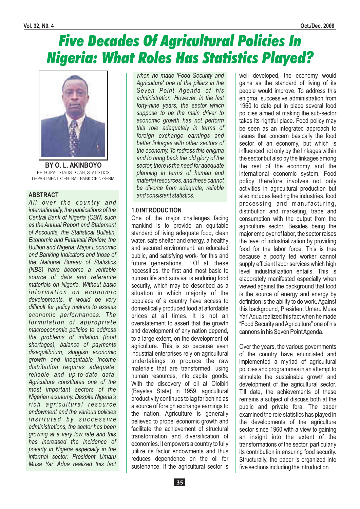# Five Decades Of Agricultural Policies In Nigeria: What Roles Has Statistics Played?



**BY O. L. AKINBOYO** PRINCIPAL STATISTICIAN, STATISTICS DEPARTMENT, CENTRAL BANK OF NIGERIA

### **ABSTRACT**

All over the country and *internationally, the publications of the Central Bank of Nigeria (CBN) such as the Annual Report and Statement of Accounts, the Statistical Bulletin, Economic and Financial Review, the Bullion and Nigeria: Major Economic and Banking Indicators and those of the National Bureau of Statistics (NBS) have become a veritable source of data and reference materials on Nigeria. Without basic i n f o r m a t i o n o n e c o n o m i c developments, it would be very difficult for policy makers to assess economic performances. The* formulation of appropriate *macroeconomic policies to address the problems of inflation (food shortages), balance of payments disequilibrium, sluggish economic growth and inequitable income distribution requires adequate, reliable and up-to-date data. Agriculture constitutes one of the most important sectors of the Nigerian economy. Despite Nigeria's*  $rich$  agricultural resource *endowment and the various policies i n s t i t u t e d b y s u c c e s s i v e administrations, the sector has been growing at a very low rate and this has increased the incidence of poverty in Nigeria especially in the informal sector. President Umaru Musa Yar' Adua realized this fact*

*when he made 'Food Security and Agriculture' one of the pillars in the Seven Point Agenda of his administration. However, in the last forty-nine years, the sector which suppose to be the main driver to economic growth has not perform this role adequately in terms of foreign exchange earnings and better linkages with other sectors of the economy. To redress this enigma and to bring back the old glory of the sector, there is the need for adequate planning in terms of human and material resources, and these cannot be divorce from adequate, reliable and consistent statistics.*

### **1.0 INTRODUCTION**

One of the major challenges facing mankind is to provide an equitable standard of living adequate food, clean water, safe shelter and energy, a healthy and secured environment, an educated public, and satisfying work- for this and future generations. Of all these necessities, the first and most basic to human life and survival is enduring food security, which may be described as a situation in which majority of the populace of a country have access to domestically produced food at affordable prices at all times. It is not an overstatement to assert that the growth and development of any nation depend, to a large extent, on the development of agriculture. This is so because even industrial enterprises rely on agricultural undertakings to produce the raw materials that are transformed, using human resources, into capital goods. With the discovery of oil at Oloibiri (Bayelsa State) in 1959, agricultural productivity continues to lag far behind as a source of foreign exchange earnings to the nation. Agriculture is generally believed to propel economic growth and facilitate the achievement of structural transformation and diversification of economies. It empowers a country to fully utilize its factor endowments and thus reduces dependence on the oil for sustenance. If the agricultural sector is

well developed, the economy would gains as the standard of living of its people would improve. To address this enigma, successive administration from 1960 to date put in place several food policies aimed at making the sub-sector takes its rightful place. Food policy may be seen as an integrated approach to issues that concern basically the food sector of an economy, but which is influenced not only by the linkages within the sector but also by the linkages among the rest of the economy and the international economic system. Food policy therefore involves not only activities in agricultural production but also includes feeding the industries, food processing and manufacturing, distribution and marketing, trade and consumption with the output from the agriculture sector. Besides being the major employer of labor, the sector raises the level of industrialization by providing food for the labor force. This is true because a poorly fed worker cannot supply efficient labor services which high level industrialization entails. This is elaborately manifested especially when viewed against the background that food is the source of energy and energy by definition is the ability to do work. Against this background, President Umaru Musa Yar'Adua realized this fact when he made "Food Security andAgriculture" one of his cannons in his Seven PointAgenda.

Over the years, the various governments of the country have enunciated and implemented a myriad of agricultural policies and programmes in an attempt to stimulate the sustainable growth and development of the agricultural sector. Till date, the achievements of these remains a subject of discuss both at the public and private fora. The paper examined the role statistics has played in the developments of the agriculture sector since 1960 with a view to gaining an insight into the extent of the transformations of the sector, particularly its contribution in ensuring food security. Structurally, the paper is organized into five sections including the introduction.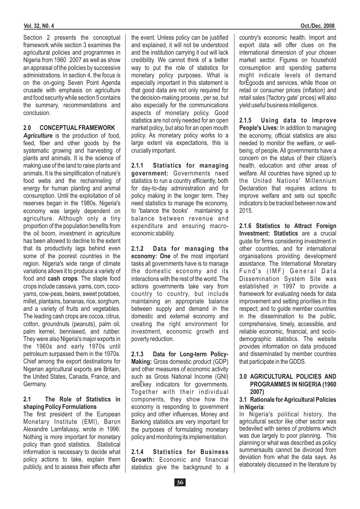Section 2 presents the conceptual framework while section 3 examines the agricultural policies and programmes in Nigeria from 1960 2007 as well as show an appraisal of the policies by successive administrations. In section 4, the focus is on the on-going Seven Point Agenda crusade with emphasis on agriculture and food security while section 5 contains the summary, recommendations and conclusion.

### **2.0 CONCEPTUAL FRAMEWORK**

Agriculture is the production of food, feed, fiber and other goods by the systematic growing and harvesting of plants and animals. It is the science of making use of the land to raise plants and animals. It is the simplification of nature's food webs and the rechanneling of energy for human planting and animal consumption. Until the exploitation of oil reserves began in the 1980s, Nigeria's economy was largely dependent on agriculture. Although only a tiny proportion of the population benefits from the oil boom, investment in agriculture has been allowed to decline to the extent that its productivity lags behind even some of the poorest countries in the region. Nigeria's wide range of climate variations allows it to produce a variety of food and **cash crops**. The staple food crops include cassava, yams, corn, cocoyams, cow-peas, beans, sweet potatoes, millet, plantains, bananas, rice, sorghum, and a variety of fruits and vegetables. The leading cash crops are cocoa, citrus, cotton, groundnuts (peanuts), palm oil, palm kernel, benniseed, and rubber. They were also Nigeria's major exports in the 1960s and early 1970s until petroleum surpassed them in the 1970s. Chief among the export destinations for Nigerian agricultural exports are Britain, the United States, Canada, France, and Germany.

#### **2.1 The Role of Statistics in shaping Policy Formulations**

The first president of the European Monetary Institute (EMI), Baron Alexandre Lamfalussy, wrote in 1996: Nothing is more important for monetary policy than good statistics. Statistical information is necessary to decide what policy actions to take, explain them publicly, and to assess their effects after

the event. Unless policy can be justified and explained, it will not be understood and the institution carrying it out will lack credibility. We cannot think of a better way to put the role of statistics for monetary policy purposes. What is especially important in this statement is that good data are not only required for the decision-making process , per se, but also especially for the communications aspects of monetary policy. Good statistics are not only needed for an open market policy, but also for an open mouth policy. As monetary policy works to a large extent via expectations, this is crucially important.

government: Governments need statistics to run a country efficiently, both for day-to-day administration and for policy making in the longer term. They need statistics to manage the economy, to 'balance the books' maintaining a balance between revenue and expenditure and ensuring macroeconomic stability. **2.1.1 Statistics for managing**

economy: One of the most important tasks all governments have is to manage the domestic economy and its interactions with the rest of the world. The actions governments take vary from country to country, but include maintaining an appropriate balance between supply and demand in the domestic and external economy and creating the right environment for investment, economic growth and poverty reduction. **2.1.2 Data for managing the**

**Making:** Gross domestic product (GDP) and other measures of economic activity such as Gross National Income (GNI) areÊkey indicators for governments. Together with their individual components, they show how the economy is responding to government policy and other influences. Money and Banking statistics are very important for the purposes of formulating monetary policy and monitoring its implementation. **2.1.3 Data for Long-term Policy-**

Growth: Economic and financial statistics give the background to a **2.1.4 Statistics for Business** country's economic health. Import and export data will offer clues on the international dimension of your chosen market sector. Figures on household consumption and spending patterns might indicate levels of demand forÊgoods and services, while those on retail or consumer prices (inflation) and retail sales ('factory gate' prices) will also yield useful business intelligence.

People's Lives: In addition to managing the economy, official statistics are also needed to monitor the welfare, or wellbeing, of people. All governments have a concern on the status of their citizen's health, education and other areas of welfare. All countries have signed up to the United Nations' Millennium Declaration that requires actions to improve welfare and sets out specific indicators to be tracked between now and 2015. **2.1.5 Using data to Improve**

Investment: Statistics are a crucial guide for firms considering investment in other countries, and for international organisations providing development assistance. The International Monetary Fund's (IMF) General Data Dissemination System Site was established in 1997 to provide a framework for evaluating needs for data improvement and setting priorities in this respect; and to guide member countries in the dissemination to the public, comprehensive, timely, accessible, and reliable economic, financial, and sociodemographic statistics. The website provides information on data produced and disseminated by member countries that participate in the GDDS. **2.1.6 Statistics to Attract Foreign**

#### **3.0 AGRICULTURAL POLICIES AND PROGRAMMES IN NIGERIA (1960 2007)**

### : **in Nigeria 3.1 Rationale for Agricultural Policies**

In Nigeria's political history, the agricultural sector like other sector was bedeviled with series of problems which was due largely to poor planning. This planning or what was described as policy summersaults cannot be divorced from deviation from what the data says. As elaborately discussed in the literature by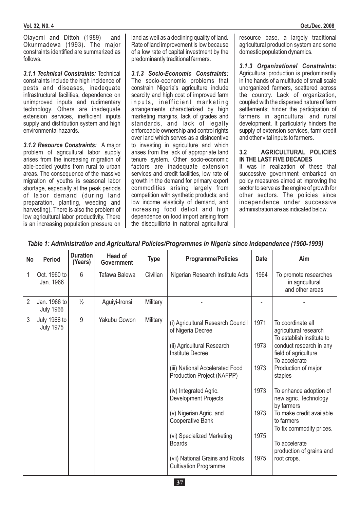Olayemi and Dittoh (1989) and Okunmadewa (1993). The major constraints identified are summarized as follows.

3.1.1 Technical Constraints: Technical constraints include the high incidence of pests and diseases, inadequate infrastructural facilities, dependence on unimproved inputs and rudimentary technology. Others are inadequate extension services, inefficient inputs supply and distribution system and high environmental hazards.

3.1.2 Resource Constraints: A major problem of agricultural labor supply arises from the increasing migration of able-bodied youths from rural to urban areas. The consequence of the massive migration of youths is seasonal labor shortage, especially at the peak periods of labor demand (during land preparation, planting, weeding and harvesting). There is also the problem of low agricultural labor productivity. There is an increasing population pressure on

land as well as a declining quality of land. Rate of land improvement is low because of a low rate of capital investment by the predominantly traditional farmers.

The socio-economic problems that constrain Nigeria's agriculture include scarcity and high cost of improved farm inputs, inefficient marketing arrangements characterized by high marketing margins, lack of grades and standards, and lack of legally enforceable ownership and control rights over land which serves as a disincentive to investing in agriculture and which arises from the lack of appropriate land tenure system. Other socio-economic factors are inadequate extension services and credit facilities, low rate of growth in the demand for primary export commodities arising largely from competition with synthetic products; and low income elasticity of demand, and increasing food deficit and high dependence on food import arising from the disequilibria in national agricultural *3.1.3 Socio-Economic Constraints:* resource base, a largely traditional agricultural production system and some domestic population dynamics.

Agricultural production is predominantly in the hands of a multitude of small scale unorganized farmers, scattered across the country. Lack of organization, coupled with the dispersed nature of farm settlements; hinder the participation of farmers in agricultural and rural development. It particularly hinders the supply of extension services, farm credit and other vital inputs to farmers. *3.1.3 Organizational Constraints:*

### **3.2 AGRICULTURAL POLICIES IN THE LAST FIVE DECADES**

It was in realization of these that successive government embarked on policy measures aimed at improving the sector to serve as the engine of growth for other sectors. The policies since independence under successive administration are as indicated below.

| <b>No</b>      | <b>Period</b>                    | <b>Duration</b><br>(Years) | <b>Head of</b><br><b>Government</b> | <b>Type</b> | <b>Programme/Policies</b>                                                                                                                                                                                                                                                                                                                                                                                         | <b>Date</b>                                          | Aim                                                                                                                                                                                                                                                                                                                                                                              |
|----------------|----------------------------------|----------------------------|-------------------------------------|-------------|-------------------------------------------------------------------------------------------------------------------------------------------------------------------------------------------------------------------------------------------------------------------------------------------------------------------------------------------------------------------------------------------------------------------|------------------------------------------------------|----------------------------------------------------------------------------------------------------------------------------------------------------------------------------------------------------------------------------------------------------------------------------------------------------------------------------------------------------------------------------------|
| 1              | Oct. 1960 to<br>Jan. 1966        | 6                          | Tafawa Balewa                       | Civilian    | Nigerian Research Institute Acts                                                                                                                                                                                                                                                                                                                                                                                  | 1964                                                 | To promote researches<br>in agricultural<br>and other areas                                                                                                                                                                                                                                                                                                                      |
| $\overline{2}$ | Jan. 1966 to<br><b>July 1966</b> | $\frac{1}{2}$              | Aguiyi-Ironsi                       | Military    |                                                                                                                                                                                                                                                                                                                                                                                                                   |                                                      |                                                                                                                                                                                                                                                                                                                                                                                  |
| 3              | July 1966 to<br><b>July 1975</b> | 9                          | Yakubu Gowon                        | Military    | (i) Agricultural Research Council<br>of Nigeria Decree<br>(ii) Agricultural Research<br><b>Institute Decree</b><br>(iii) National Accelerated Food<br>Production Project (NAFPP)<br>(iv) Integrated Agric.<br><b>Development Projects</b><br>(v) Nigerian Agric. and<br><b>Cooperative Bank</b><br>(vi) Specialized Marketing<br><b>Boards</b><br>(vii) National Grains and Roots<br><b>Cultivation Programme</b> | 1971<br>1973<br>1973<br>1973<br>1973<br>1975<br>1975 | To coordinate all<br>agricultural research<br>To establish institute to<br>conduct research in any<br>field of agriculture<br>To accelerate<br>Production of major<br>staples<br>To enhance adoption of<br>new agric. Technology<br>by farmers<br>To make credit available<br>to farmers<br>To fix commodity prices.<br>To accelerate<br>production of grains and<br>root crops. |

*Table 1: Administration and Agricultural Policies/Programmes in Nigeria since Independence (1960-1999)*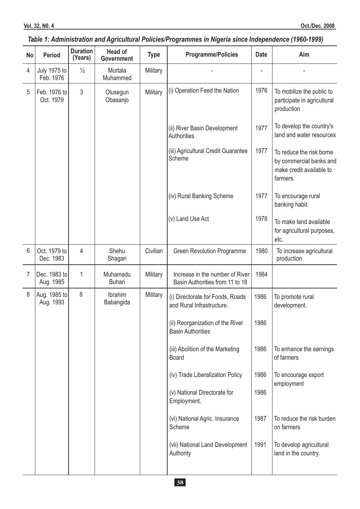### *Table 1: Administration and Agricultural Policies/Programmes in Nigeria since Independence (1960-1999)*

| <b>No</b>      | <b>Period</b>                    | <b>Duration</b><br>(Years) | <b>Head of</b><br><b>Government</b> | <b>Type</b> | <b>Programme/Policies</b>                                          | <b>Date</b> | Aim                                                                                         |
|----------------|----------------------------------|----------------------------|-------------------------------------|-------------|--------------------------------------------------------------------|-------------|---------------------------------------------------------------------------------------------|
| $\overline{4}$ | <b>July 1975 to</b><br>Feb. 1976 | $\frac{1}{2}$              | Murtala<br>Muhammed                 | Military    |                                                                    |             |                                                                                             |
| 5              | Feb. 1976 to<br>Oct. 1979        | 3                          | Olusegun<br>Obasanjo                | Military    | (i) Operation Feed the Nation                                      | 1976        | To mobilize the public to<br>participate in agricultural<br>production                      |
|                |                                  |                            |                                     |             | (ii) River Basin Development<br>Authorities                        | 1977        | To develop the country's<br>land and water resources                                        |
|                |                                  |                            |                                     |             | (iii) Agricultural Credit Guarantee<br>Scheme                      | 1977        | To reduce the risk borne<br>by commercial banks and<br>make credit available to<br>farmers. |
|                |                                  |                            |                                     |             | (iv) Rural Banking Scheme                                          | 1977        | To encourage rural<br>banking habit.                                                        |
|                |                                  |                            |                                     |             | (v) Land Use Act                                                   | 1978        | To make land available<br>for agricultural purposes,<br>etc.                                |
| 6              | Oct. 1979 to<br>Dec. 1983        | 4                          | Shehu<br>Shagari                    | Civilian    | <b>Green Revolution Programme</b>                                  | 1980        | To increase agricultural<br>production                                                      |
| $\overline{7}$ | Dec. 1983 to<br>Aug. 1985        | $\mathbf{1}$               | Muhamadu<br><b>Buhari</b>           | Military    | Increase in the number of River<br>Basin Authorities from 11 to 18 | 1984        |                                                                                             |
| 8              | Aug. 1985 to<br>Aug. 1993        | 8                          | Ibrahim<br>Babangida                | Military    | (i) Directorate for Foods, Roads<br>and Rural Infrastructure.      | 1986        | To promote rural<br>development.                                                            |
|                |                                  |                            |                                     |             | (ii) Reorganization of the River<br><b>Basin Authorities</b>       | 1986        |                                                                                             |
|                |                                  |                            |                                     |             | (iii) Abolition of the Marketing<br><b>Board</b>                   | 1986        | To enhance the earnings<br>of farmers                                                       |
|                |                                  |                            |                                     |             | (iv) Trade Liberalization Policy                                   | 1986        | To encourage export<br>employment                                                           |
|                |                                  |                            |                                     |             | (v) National Directorate for<br>Employment.                        | 1986        |                                                                                             |
|                |                                  |                            |                                     |             | (vi) National Agric. Insurance<br>Scheme                           | 1987        | To reduce the risk burden<br>on farmers                                                     |
|                |                                  |                            |                                     |             | (vii) National Land Development<br>Authority                       | 1991        | To develop agricultural<br>land in the country.                                             |
|                |                                  |                            |                                     |             |                                                                    |             |                                                                                             |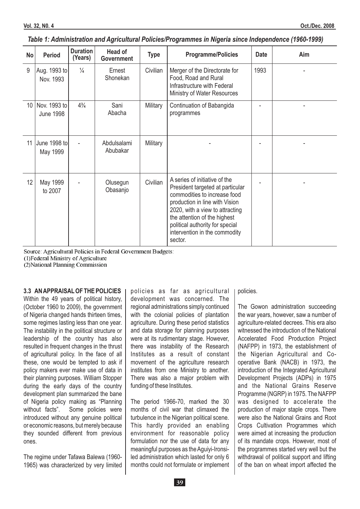| No | <b>Period</b>                    | <b>Duration</b><br>(Years) | <b>Head of</b><br><b>Government</b> | <b>Type</b> | <b>Programme/Policies</b>                                                                                                                                                                                                                                                             | <b>Date</b> | Aim |
|----|----------------------------------|----------------------------|-------------------------------------|-------------|---------------------------------------------------------------------------------------------------------------------------------------------------------------------------------------------------------------------------------------------------------------------------------------|-------------|-----|
| 9  | Aug. 1993 to<br>Nov. 1993        | $\frac{1}{4}$              | Ernest<br>Shonekan                  | Civilian    | Merger of the Directorate for<br>Food, Road and Rural<br>Infrastructure with Federal<br>Ministry of Water Resources                                                                                                                                                                   | 1993        |     |
| 10 | Nov. 1993 to<br><b>June 1998</b> | $4\frac{3}{4}$             | Sani<br>Abacha                      | Military    | Continuation of Babangida<br>programmes                                                                                                                                                                                                                                               |             |     |
| 11 | June 1998 tol<br>May 1999        |                            | Abdulsalami<br>Abubakar             | Military    |                                                                                                                                                                                                                                                                                       |             |     |
| 12 | May 1999<br>to 2007              |                            | Olusegun<br>Obasanjo                | Civilian    | A series of initiative of the<br>President targeted at particular<br>commodities to increase food<br>production in line with Vision<br>2020, with a view to attracting<br>the attention of the highest<br>political authority for special<br>intervention in the commodity<br>sector. |             |     |

### *Table 1: Administration and Agricultural Policies/Programmes in Nigeria since Independence (1960-1999)*

Source: Agricultural Policies in Federal Government Budgets:

(1)Federal Ministry of Agriculture

(2)National Planning Commission

### **3.3 ANAPPRAISAL OF THE POLICIES**

Within the 49 years of political history, (October 1960 to 2009), the government of Nigeria changed hands thirteen times, some regimes lasting less than one year. The instability in the political structure or leadership of the country has also resulted in frequent changes in the thrust of agricultural policy. In the face of all these, one would be tempted to ask if policy makers ever make use of data in their planning purposes. William Stopper during the early days of the country development plan summarized the bane of Nigeria policy making as "Planning without facts". Some policies were introduced without any genuine political or economic reasons, but merely because they sounded different from previous ones.

The regime under Tafawa Balewa (1960- 1965) was characterized by very limited policies as far as agricultural development was concerned. The regional administrations simply continued with the colonial policies of plantation agriculture. During these period statistics and data storage for planning purposes were at its rudimentary stage. However, there was instability of the Research Institutes as a result of constant movement of the agriculture research institutes from one Ministry to another. There was also a major problem with funding of these Institutes.

The period 1966-70, marked the 30 months of civil war that climaxed the turbulence in the Nigerian political scene. This hardly provided an enabling environment for reasonable policy formulation nor the use of data for any meaningful purposes as the Aguiyi-Ironsiled administration which lasted for only 6 months could not formulate or implement policies.

The Gowon administration succeeding the war years, however, saw a number of agriculture-related decrees. This era also witnessed the introduction of the National Accelerated Food Production Project (NAFPP) in 1973, the establishment of the Nigerian Agricultural and Cooperative Bank (NACB) in 1973, the introduction of the Integrated Agricultural Development Projects (ADPs) in 1975 and the National Grains Reserve Programme (NGRP) in 1975. The NAFPP was designed to accelerate the production of major staple crops. There were also the National Grains and Root Crops Cultivation Programmes which were aimed at increasing the production of its mandate crops. However, most of the programmes started very well but the withdrawal of political support and lifting of the ban on wheat import affected the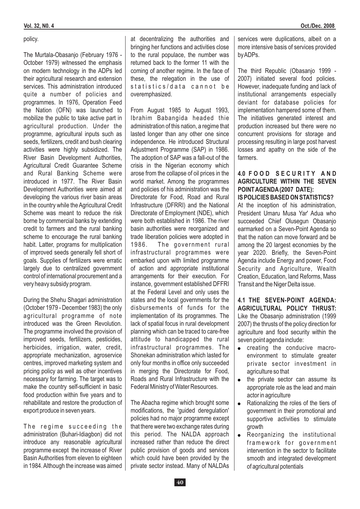### policy.

The Murtala-Obasanjo (February 1976 - October 1979) witnessed the emphasis on modern technology in the ADPs led their agricultural research and extension services. This administration introduced quite a number of policies and programmes. In 1976, Operation Feed the Nation (OFN) was launched to mobilize the public to take active part in agricultural production. Under the programme, agricultural inputs such as seeds, fertilizers, credit and bush clearing activities were highly subsidized. The River Basin Development Authorities, Agricultural Credit Guarantee Scheme and Rural Banking Scheme were introduced in 1977. The River Basin Development Authorities were aimed at developing the various river basin areas in the country while the Agricultural Credit Scheme was meant to reduce the risk borne by commercial banks by extending credit to farmers and the rural banking scheme to encourage the rural banking habit. Latter, programs for multiplication of improved seeds generally fell short of goals. Supplies of fertilizers were erratic largely due to centralized government control of international procurement and a very heavy subsidy program.

During the Shehu Shagari administration (October 1979 - December 1983) the only agricultural programme of note introduced was the Green Revolution. The programme involved the provision of improved seeds, fertilizers, pesticides, herbicides, irrigation, water, credit, appropriate mechanization, agroservice centres, improved marketing system and pricing policy as well as other incentives necessary for farming. The target was to make the country self-sufficient in basic food production within five years and to rehabilitate and restore the production of export produce in seven years.

The regime succeeding the administration (Buhari-Idiagbon) did not introduce any reasonable agricultural programme except the increase of River Basin Authorities from eleven to eighteen in 1984. Although the increase was aimed at decentralizing the authorities and bringing her functions and activities close to the rural populace, the number was returned back to the former 11 with the coming of another regime. In the face of these, the relegation in the use of statistics/data cannot be overemphasized.

From August 1985 to August 1993, Ibrahim Babangida headed thie administration of this nation, a regime that lasted longer than any other one since independence. He introduced Structural Adjustment Programme (SAP) in 1986. The adoption of SAP was a fall-out of the crisis in the Nigerian economy which arose from the collapse of oil prices in the world market. Among the programmes and policies of his administration was the Directorate for Food, Road and Rural Infrastructure (DFRRI) and the National Directorate of Employment (NDE), which were both established in 1986. The river basin authorities were reorganized and trade liberation policies were adopted in 1986. The government rural infrastructural programmes were embarked upon with limited programme of action and appropriate institutional arrangements for their execution. For instance, government established DFFRI at the Federal Level and only uses the states and the local governments for the disbursements of funds for the implementation of its programmes. The lack of spatial focus in rural development planning which can be traced to care-free attitude to handicapped the rural infrastructural programmes. The Shonekan administration which lasted for only four months in office only succeeded in merging the Directorate for Food, Roads and Rural Infrastructure with the Federal Ministry of Water Resources.

The Abacha regime which brought some modifications, the 'guided deregulation' policies had no major programme except that there were two exchange rates during this period. The NALDA approach increased rather than reduce the direct public provision of goods and services which could have been provided by the private sector instead. Many of NALDAs services were duplications, albeit on a more intensive basis of services provided byADPs.

The third Republic (Obasanjo 1999 - 2007) initiated several food policies. However, inadequate funding and lack of institutional arrangements especially deviant for database policies for implementation hampered some of them. The initiatives generated interest and production increased but there were no concurrent provisions for storage and processing resulting in large post harvest losses and apathy on the side of the farmers.

### **4.0 F O O D S E C U R I T Y A N D AGRICULTURE WITHIN THE SEVEN POINTAGENDA(2007 DATE): IS POLICIES BASED ON STATISTICS?**

At the inception of his administration, President Umaru Musa Yar' Adua who succeeded Chief Olusegun Obasanjo earmarked on a Seven-Point Agenda so that the nation can move forward and be among the 20 largest economies by the year 2020. Briefly, the Seven-Point Agenda include Energy and power, Food Security and Agriculture, Wealth Creation, Education, land Reforms, Mass Transit and the Niger Delta issue.

Like the Obasanjo administration (1999 2007) the thrusts of the policy direction for agriculture and food security within the seven point agenda include: **4.1 THE SEVEN-POINT AGENDA: AGRICULTURAL POLICY THRUST:**

- creating the conducive macroenvironment to stimulate greater private sector investment in agriculture so that
- the private sector can assume its appropriate role as the lead and main actor in agriculture .
- Rationalizing the roles of the tiers of government in their promotional and supportive activities to stimulate growth  $\bullet$
- Reorganizing the institutional framework for government intervention in the sector to facilitate smooth and integrated development of agricultural potentials .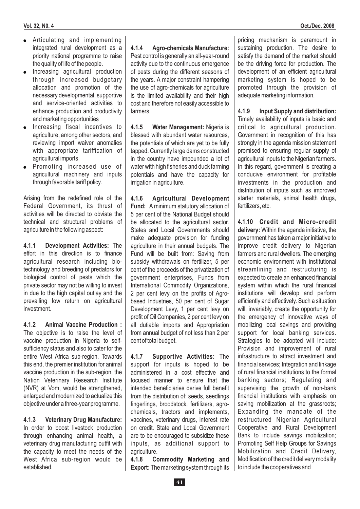- Articulating and implementing integrated rural development as a priority national programme to raise the quality of life of the people.
- . Increasing agricultural production through increased budgetary allocation and promotion of the necessary developmental, supportive and service-oriented activities to enhance production and productivity and marketing opportunities
- . Increasing fiscal incentives to agriculture, among other sectors, and reviewing import waiver anomalies with appropriate tariffication of agricultural imports
- . Promoting increased use of agricultural machinery and inputs through favorable tariff policy.

Arising from the redefined role of the Federal Government, its thrust of activities will be directed to obviate the technical and structural problems of agriculture in the following aspect:

4.1.1 Development Activities: The effort in this direction is to finance agricultural research including biotechnology and breeding of predators for biological control of pests which the private sector may not be willing to invest in due to the high capital outlay and the prevailing low return on agricultural investment.

The objective is to raise the level of vaccine production in Nigeria to selfsufficiency status and also to cater for the entire West Africa sub-region. Towards this end, the premier institution for animal vaccine production in the sub-region, the Nation Veterinary Research Institute (NVR) at Vom, would be strengthened, enlarged and modernized to actualize this objective under a three-year programme. **4.1.2 Animal Vaccine Production :**

In order to boost livestock production through enhancing animal health, a veterinary drug manufacturing outfit with the capacity to meet the needs of the West Africa sub-region would be established. **4.1.3 Veterinary Drug Manufacture:**

Pest control is generally an all-year-round activity due to the continuous emergence of pests during the different seasons of the years. A major constraint hampering the use of agro-chemicals for agriculture is the limited availability and their high cost and therefore not easily accessible to farmers. **4.1.4 Agro-chemicals Manufacture:**

4.1.5 Water Management: Nigeria is blessed with abundant water resources, the potentials of which are yet to be fully tapped. Currently large dams constructed in the country have impounded a lot of water with high fisheries and duck farming potentials and have the capacity for irrigation in agriculture.

Fund: A minimum statutory allocation of 5 per cent of the National Budget should be allocated to the agricultural sector. States and Local Governments should make adequate provision for funding agriculture in their annual budgets. The Fund will be built from: Saving from subsidy withdrawals on fertilizer, 5 per cent of the proceeds of the privatization of government enterprises, Funds from International Commodity Organizations, 2 per cent levy on the profits of Agrobased Industries, 50 per cent of Sugar Development Levy, 1 per cent levy on profit of Oil Companies, 2 per cent levy on all dutiable imports and Appropriation from annual budget of not less than 2 per cent of total budget. **4.1.6 Agricultural Development**

4.1.7 Supportive Activities: The support for inputs is hoped to be administered in a cost effective and focused manner to ensure that the intended beneficiaries derive full benefit from the distribution of: seeds, seedlings fingerlings, broodstock, fertilizers, agrochemicals, tractors and implements, vaccines, veterinary drugs, interest rate on credit. State and Local Government are to be encouraged to subsidize these inputs, as additional support to agriculture.

**Export:** The marketing system through its **4.1.8 Commodity Marketing and**

pricing mechanism is paramount in sustaining production. The desire to satisfy the demand of the market should be the driving force for production. The development of an efficient agricultural marketing system is hoped to be promoted through the provision of adequate marketing information.

Timely availability of inputs is basic and critical to agricultural production. Government in recognition of this has strongly in the agenda mission statement promised to ensuring regular supply of agricultural inputs to the Nigerian farmers. In this regard, government is creating a conducive environment for profitable investments in the production and distribution of inputs such as improved starter materials, animal health drugs, fertilizers, etc. **4.1.9 Input Supply and distribution:**

delivery: Within the agenda initiative, the government has taken a major initiative to improve credit delivery to Nigerian farmers and rural dwellers. The emerging economic environment with institutional streamlining and restructuring is expected to create an enhanced financial system within which the rural financial institutions will develop and perform efficiently and effectively. Such a situation will, invariably, create the opportunity for the emergency of innovative ways of mobilizing local savings and providing support for local banking services. Strategies to be adopted will include: Provision and improvement of rural infrastructure to attract investment and financial services; Integration and linkage of rural financial institutions to the formal banking sectors; Regulating and supervising the growth of non-bank financial institutions with emphasis on saving mobilization at the grassroots: Expanding the mandate of the restructured Nigerian Agricultural Cooperative and Rural Development Bank to include savings mobilization; Promoting Self Help Groups for Savings Mobilization and Credit Delivery, Modification of the credit delivery modality to include the cooperatives and **4.1.10 Credit and Micro-credit**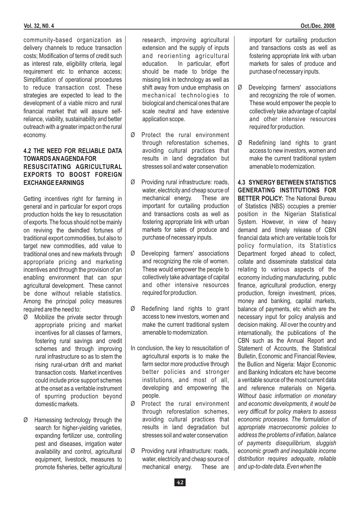community-based organization as delivery channels to reduce transaction costs; Modification of terms of credit such as interest rate, eligibility criteria, legal requirement etc to enhance access; Simplification of operational procedures to reduce transaction cost. These strategies are expected to lead to the development of a viable micro and rural financial market that will assure selfreliance, viability, sustainability and better outreach with a greater impact on the rural economy.

### **4.2 THE NEED FOR RELIABLE DATA TOWARDSANAGENDAFOR RESUSCITATING AGRICULTURAL EXPORTS TO BOOST FOREIGN**

Getting incentives right for farming in general and in particular for export crops production holds the key to resuscitation of exports. The focus should not be mainly on reviving the dwindled fortunes of traditional export commodities, but also to target new commodities, add value to traditional ones and new markets through appropriate pricing and marketing incentives and through the provision of an enabling environment that can spur agricultural development. These cannot be done without reliable statistics. Among the principal policy measures required are the need to:

- Ø Mobilize the private sector through appropriate pricing and market incentives for all classes of farmers, fostering rural savings and credit schemes and through improving rural infrastructure so as to stem the rising rural-urban drift and market transaction costs. Market incentives could include price support schemes at the onset as a veritable instrument of spurring production beyond domestic markets.
- Ø Harnessing technology through the search for higher-vielding varieties. expanding fertilizer use, controlling pest and diseases, irrigation water availability and control, agricultural equipment, livestock, measures to promote fisheries, better agricultural

research, improving agricultural extension and the supply of inputs and reorienting agricultural education. In particular, effort should be made to bridge the missing link in technology as well as shift away from undue emphasis on mechanical technologies to biological and chemical ones that are scale neutral and have extensive application scope.

- Ø Protect the rural environment through reforestation schemes, avoiding cultural practices that results in land degradation but stresses soil and water conservation
- Ø Providing rural infrastructure: roads, **EXCHANGE EARNINGS 4.3 SYNERGY BETWEEN STATISTICS** water, electricity and cheap source of mechanical energy. These are important for curtailing production and transactions costs as well as fostering appropriate link with urban markets for sales of produce and purchase of necessary inputs.
	- Ø Developing farmers' associations and recognizing the role of women. These would empower the people to collectively take advantage of capital and other intensive resources required for production.
	- Ø Redefining land rights to grant access to new investors, women and make the current traditional system amenable to modernization.
	- In conclusion, the key to resuscitation of agricultural exports is to make the farm sector more productive through better policies and stronger institutions, and most of all, developing and empowering the people.
	- Ø Protect the rural environment through reforestation schemes, avoiding cultural practices that results in land degradation but stresses soil and water conservation
	- Ø Providing rural infrastructure: roads, water, electricity and cheap source of mechanical energy. These are

important for curtailing production and transactions costs as well as fostering appropriate link with urban markets for sales of produce and purchase of necessary inputs.

- Ø Developing farmers' associations and recognizing the role of women. These would empower the people to collectively take advantage of capital and other intensive resources required for production.
- Ø Redefining land rights to grant access to new investors, women and make the current traditional system amenable to modernization.

**BETTER POLICY: The National Bureau** of Statistics (NBS) occupies a premier position in the Nigerian Statistical System. However, in view of heavy demand and timely release of CBN financial data which are veritable tools for policy formulation, its Statistics Department forged ahead to collect, collate and disseminate statistical data relating to various aspects of the economy including manufacturing, public finance, agricultural production, energy production, foreign investment, prices, money and banking, capital markets, balance of payments, etc which are the necessary input for policy analysis and decision making. All over the country and internationally, the publications of the CBN such as the Annual Report and Statement of Accounts, the Statistical Bulletin, Economic and Financial Review, the Bullion and Nigeria: Major Economic and Banking Indicators etc have become a veritable source of the most current data and reference materials on Nigeria. **GENERATING INSTITUTIONS FOR** *Without basic information on monetary and economic developments, it would be very difficult for policy makers to assess economic processes. The formulation of appropriate macroeconomic policies to address the problems of inflation, balance of payments disequilibrium, sluggish economic growth and inequitable income distribution requires adequate, reliable and up-to-date data. Even when the*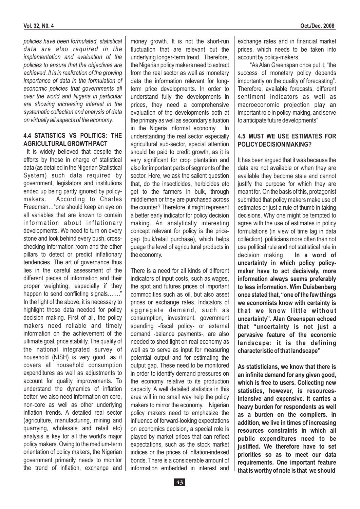*policies have been formulated, statistical data are also required in the implementation and evaluation of the policies to ensure that the objectives are achieved. It is in realization of the growing importance of data in the formulation of economic policies that governments all over the world and Nigeria in particular are showing increasing interest in the systematic collection and analysis of data on virtually all aspects of the economy.*

### **4.4 STATISTICS VS POLITICS: THE AGRICULTURAL GROWTH PACT**

It is widely believed that despite the efforts by those in charge of statistical data (as detailed in the Nigerian Statistical System) such data required by government, legislators and institutions ended up being partly ignored by policymakers. According to Charles Freedman…"one should keep an eye on all variables that are known to contain information about inflationary developments. We need to turn on every stone and look behind every bush, crosschecking information room and the other pillars to detect or predict inflationary tendencies. The art of governance thus lies in the careful assessment of the different pieces of information and their proper weighting, especially if they happen to send conflicting signals……." In the light of the above, it is necessary to highlight those data needed for policy decision making. First of all, the policy makers need reliable and timely information on the achievement of the ultimate goal, price stability. The quality of the national integrated survey of household (NISH) is very good, as it covers all household consumption expenditures as well as adjustments to account for quality improvements. To understand the dynamics of inflation better, we also need information on core, non-core as well as other underlying inflation trends. A detailed real sector (agriculture, manufacturing, mining and quarrying, wholesale and retail etc) analysis is key for all the world's major policy makers. Owing to the medium-term orientation of policy makers, the Nigerian government primarily needs to monitor the trend of inflation, exchange and money growth. It is not the short-run fluctuation that are relevant but the underlying longer-term trend. Therefore, the Nigerian policy makers need to extract from the real sector as well as monetary data the information relevant for longterm price developments. In order to understand fully the developments in prices, they need a comprehensive evaluation of the developments both at the primary as well as secondary situation in the Nigeria informal economy. In understanding the real sector especially agricultural sub-sector, special attention should be paid to credit growth, as it is very significant for crop plantation and also for important parts of segments of the sector. Here, we ask the salient question that, do the insecticides, herbicides etc get to the farmers in bulk, through middlemen or they are purchased across the counter? Therefore, it might represent a better early indicator for policy decision making. An analytically interesting concept relevant for policy is the pricegap (bulk/retail purchase), which helps guage the level of agricultural products in the economy.

There is a need for all kinds of different indicators of input costs, such as wages, the spot and futures prices of important commodities such as oil, but also asset prices or exchange rates. Indicators of aggregate demand, such as consumption, investment, government spending -fiscal policy- or external demand -balance payments-, are also needed to shed light on real economy as well as to serve as input for measuring potential output and for estimating the output gap. These need to be monitored in order to identify demand pressures on the economy relative to its production capacity. A well detailed statistics in this area will in no small way help the policy makers to mirror the economy. Nigerian policy makers need to emphasize the influence of forward-looking expectations on economics decision, a special role is played by market prices that can reflect expectations, such as the stock market indices or the prices of inflation-indexed bonds. There is a considerable amount of information embedded in interest and exchange rates and in financial market prices, which needs to be taken into account by policy-makers.

"As Alan Greenspan once put it, "the success of monetary policy depends importantly on the quality of forecasting". Therefore, available forecasts, different sentiment indicators as well as macroeconomic projection play an important role in policy-making, and serve to anticipate future developments"

### **4.5 MUST WE USE ESTIMATES FOR POLICY DECISION MAKING?**

**In a word of uncertainty in which policy policymaker have to act decisively, more information always seems preferably to less information. Wim Duisbenberg once stated that, "one of the few things we economists know with certainty is** that we know little without **uncertainty". Alan Greenspan echoed that "uncertainty is not just a pervasive feature of the economic landscape: it is the defining characteristic of that landscape"** It has been argued that it was because the data are not available or when they are available they become stale and cannot justify the purpose for which they are meant for. On the basis of this, protagonist submitted that policy makers make use of estimates or just a rule of thumb in taking decisions. Why one might be tempted to agree with the use of estimates in policy formulations (in view of time lag in data collection), politicians more often than not use political rule and not statistical rule in decision making.

**As statisticians, we know that there is an infinite demand for any given good, which is free to users. Collecting new statistics, however, is resourcesintensive and expensive. It carries a heavy burden for respondents as well as a burden on the compilers. In addition, we live in times of increasing resources constraints in which all public expenditures need to be justified. We therefore have to set priorities so as to meet our data requirements. One important feature that is worthy of note is that we should**